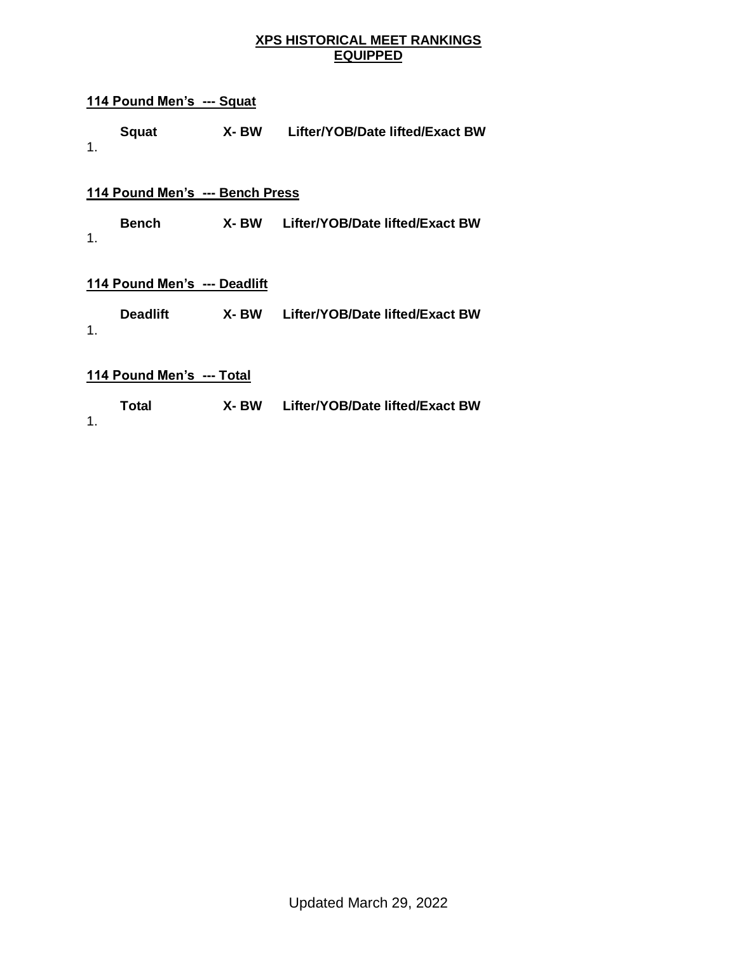### **XPS HISTORICAL MEET RANKINGS EQUIPPED**

### **114 Pound Men's --- Squat**

| <b>Squat</b> | X-BW | Lifter/YOB/Date lifted/Exact BW |
|--------------|------|---------------------------------|
|              |      |                                 |

### **114 Pound Men's --- Bench Press**

**Bench X- BW Lifter/YOB/Date lifted/Exact BW** 1.

### **114 Pound Men's --- Deadlift**

| <b>Deadlift</b> | X- BW | Lifter/YOB/Date lifted/Exact BW |
|-----------------|-------|---------------------------------|
|                 |       |                                 |

| Total | X-BW | Lifter/YOB/Date lifted/Exact BW |
|-------|------|---------------------------------|
|       |      |                                 |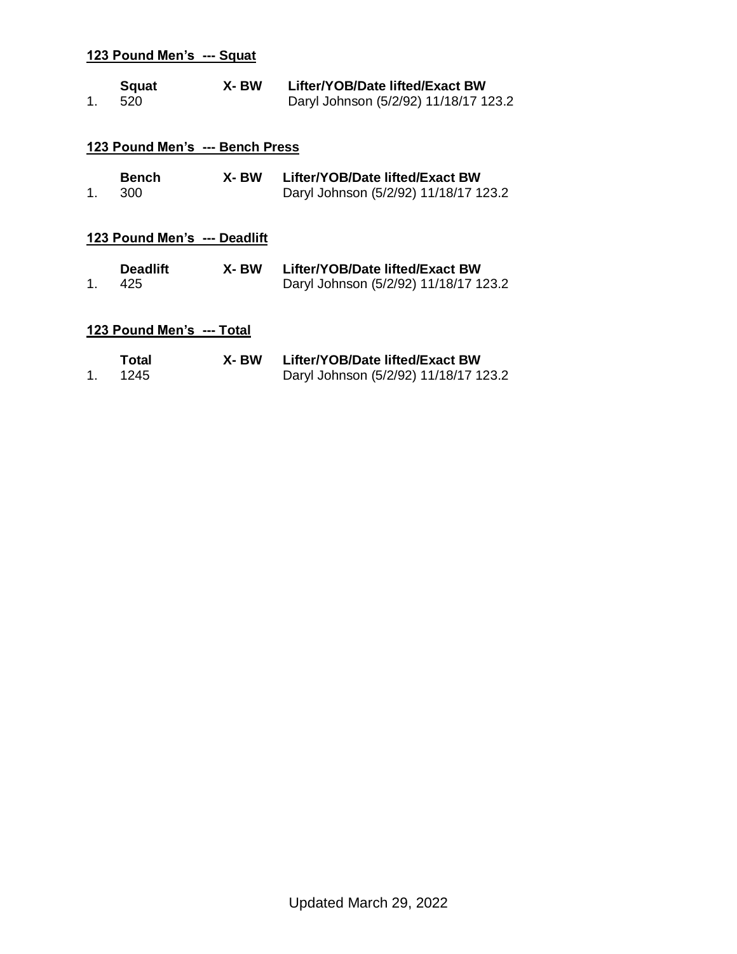| 1. | <b>Squat</b><br>520             | X- BW | Lifter/YOB/Date lifted/Exact BW<br>Daryl Johnson (5/2/92) 11/18/17 123.2 |
|----|---------------------------------|-------|--------------------------------------------------------------------------|
|    | 123 Pound Men's --- Bench Press |       |                                                                          |
| 1. | <b>Bench</b><br>300             | X- BW | Lifter/YOB/Date lifted/Exact BW<br>Daryl Johnson (5/2/92) 11/18/17 123.2 |
|    | 123 Pound Men's --- Deadlift    |       |                                                                          |
| 1. | <b>Deadlift</b><br>425          | X-BW  | Lifter/YOB/Date lifted/Exact BW<br>Daryl Johnson (5/2/92) 11/18/17 123.2 |
|    | 123 Pound Men's --- Total       |       |                                                                          |
| 1. | Total<br>1245                   | X- BW | Lifter/YOB/Date lifted/Exact BW<br>Daryl Johnson (5/2/92) 11/18/17 123.2 |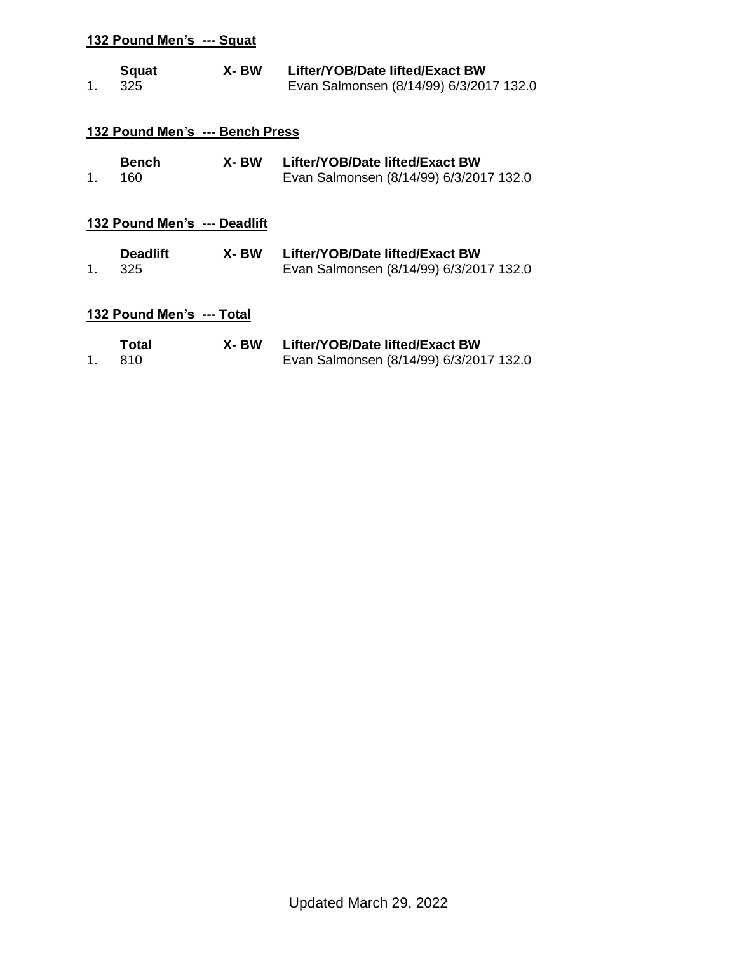| 1.      | <b>Squat</b><br>325             | X-BW  | Lifter/YOB/Date lifted/Exact BW<br>Evan Salmonsen (8/14/99) 6/3/2017 132.0 |
|---------|---------------------------------|-------|----------------------------------------------------------------------------|
|         | 132 Pound Men's --- Bench Press |       |                                                                            |
| 1.      | <b>Bench</b><br>160             | X- BW | Lifter/YOB/Date lifted/Exact BW<br>Evan Salmonsen (8/14/99) 6/3/2017 132.0 |
|         | 132 Pound Men's --- Deadlift    |       |                                                                            |
| $1_{-}$ | <b>Deadlift</b><br>325          | X- BW | Lifter/YOB/Date lifted/Exact BW<br>Evan Salmonsen (8/14/99) 6/3/2017 132.0 |
|         | 132 Pound Men's --- Total       |       |                                                                            |
| 1.      | Total<br>810                    | X- BW | Lifter/YOB/Date lifted/Exact BW<br>Evan Salmonsen (8/14/99) 6/3/2017 132.0 |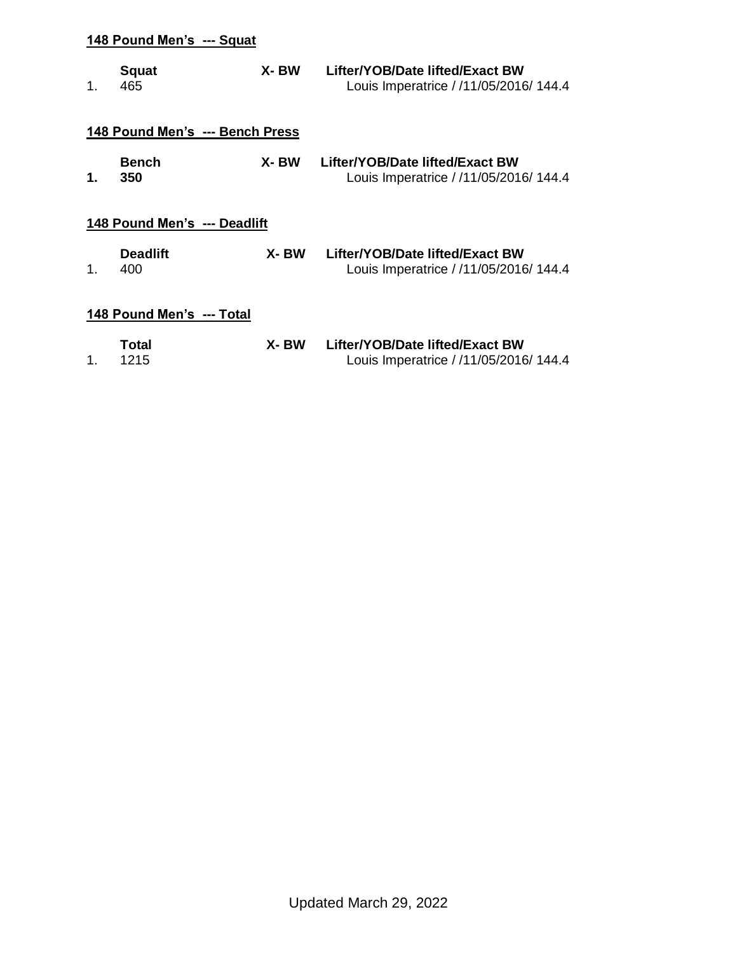| 1.      | Squat<br>465                    | X-BW  | Lifter/YOB/Date lifted/Exact BW<br>Louis Imperatrice / /11/05/2016/ 144.4 |
|---------|---------------------------------|-------|---------------------------------------------------------------------------|
|         | 148 Pound Men's --- Bench Press |       |                                                                           |
| 1.      | <b>Bench</b><br>350             | X-BW  | Lifter/YOB/Date lifted/Exact BW<br>Louis Imperatrice / /11/05/2016/ 144.4 |
|         | 148 Pound Men's --- Deadlift    |       |                                                                           |
| $1_{-}$ | <b>Deadlift</b><br>400          | X-BW  | Lifter/YOB/Date lifted/Exact BW<br>Louis Imperatrice / /11/05/2016/ 144.4 |
|         | 148 Pound Men's --- Total       |       |                                                                           |
| 1.      | Total<br>1215                   | X- BW | Lifter/YOB/Date lifted/Exact BW<br>Louis Imperatrice / /11/05/2016/ 144.4 |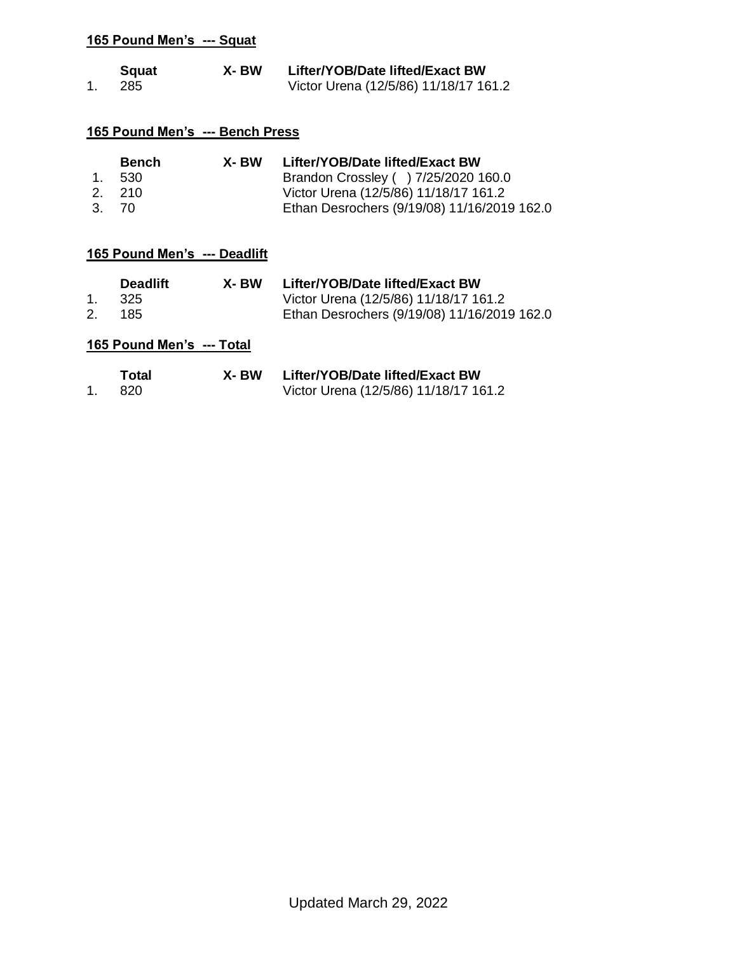| <b>Squat</b> | X- BW | Lifter/YOB/Date lifted/Exact BW       |
|--------------|-------|---------------------------------------|
| 285          |       | Victor Urena (12/5/86) 11/18/17 161.2 |

### **165 Pound Men's --- Bench Press**

| <b>Bench</b> | X- BW | Lifter/YOB/Date lifted/Exact BW             |
|--------------|-------|---------------------------------------------|
| 1. 530       |       | Brandon Crossley ( ) 7/25/2020 160.0        |
| 2. 210       |       | Victor Urena (12/5/86) 11/18/17 161.2       |
| 3. 70        |       | Ethan Desrochers (9/19/08) 11/16/2019 162.0 |

# **165 Pound Men's --- Deadlift**

|    | <b>Deadlift</b> | X- BW | Lifter/YOB/Date lifted/Exact BW             |
|----|-----------------|-------|---------------------------------------------|
|    | - 325 -         |       | Victor Urena (12/5/86) 11/18/17 161.2       |
| 2. | 185             |       | Ethan Desrochers (9/19/08) 11/16/2019 162.0 |

| Total | X- BW | Lifter/YOB/Date lifted/Exact BW       |
|-------|-------|---------------------------------------|
| -820- |       | Victor Urena (12/5/86) 11/18/17 161.2 |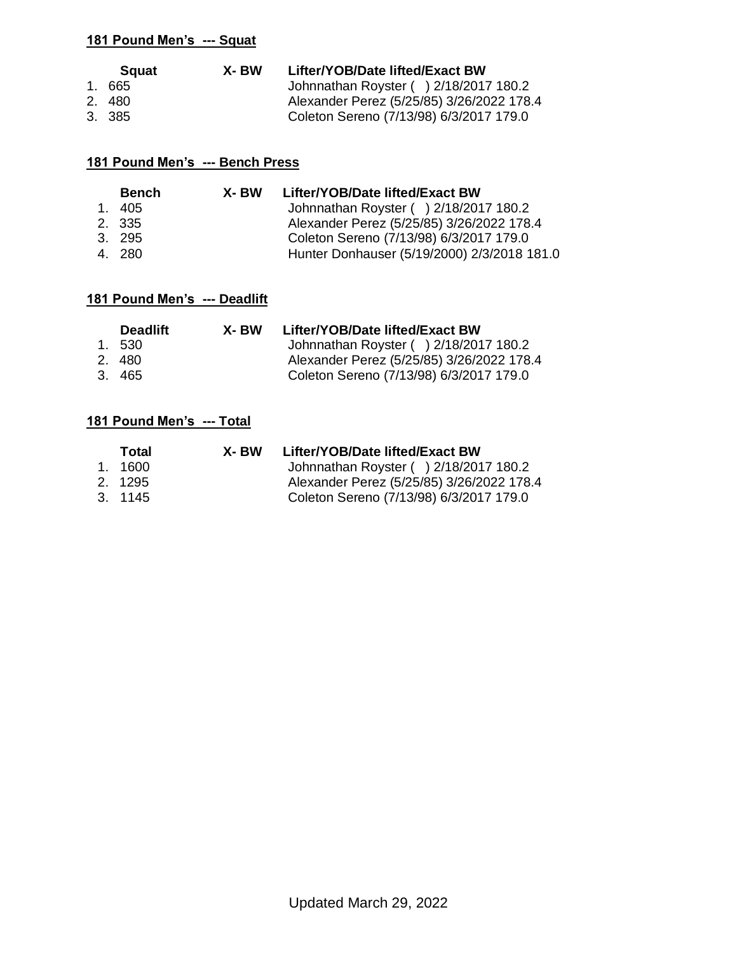| Squat  | X- BW | Lifter/YOB/Date lifted/Exact BW           |
|--------|-------|-------------------------------------------|
| 1.665  |       | Johnnathan Royster () 2/18/2017 180.2     |
| 2.480  |       | Alexander Perez (5/25/85) 3/26/2022 178.4 |
| 3. 385 |       | Coleton Sereno (7/13/98) 6/3/2017 179.0   |

## **181 Pound Men's --- Bench Press**

| <b>Bench</b> | X- BW | Lifter/YOB/Date lifted/Exact BW             |
|--------------|-------|---------------------------------------------|
| 1. 405       |       | Johnnathan Royster () 2/18/2017 180.2       |
| 2. 335       |       | Alexander Perez (5/25/85) 3/26/2022 178.4   |
| 3. 295       |       | Coleton Sereno (7/13/98) 6/3/2017 179.0     |
| 4. 280       |       | Hunter Donhauser (5/19/2000) 2/3/2018 181.0 |

### **181 Pound Men's --- Deadlift**

| <b>Deadlift</b> | X- BW | Lifter/YOB/Date lifted/Exact BW           |
|-----------------|-------|-------------------------------------------|
| 1. 530          |       | Johnnathan Royster () 2/18/2017 180.2     |
| 2. 480          |       | Alexander Perez (5/25/85) 3/26/2022 178.4 |
| 3. 465          |       | Coleton Sereno (7/13/98) 6/3/2017 179.0   |

| Total   | X- BW | Lifter/YOB/Date lifted/Exact BW           |
|---------|-------|-------------------------------------------|
| 1. 1600 |       | Johnnathan Royster () 2/18/2017 180.2     |
| 2. 1295 |       | Alexander Perez (5/25/85) 3/26/2022 178.4 |
| 3. 1145 |       | Coleton Sereno (7/13/98) 6/3/2017 179.0   |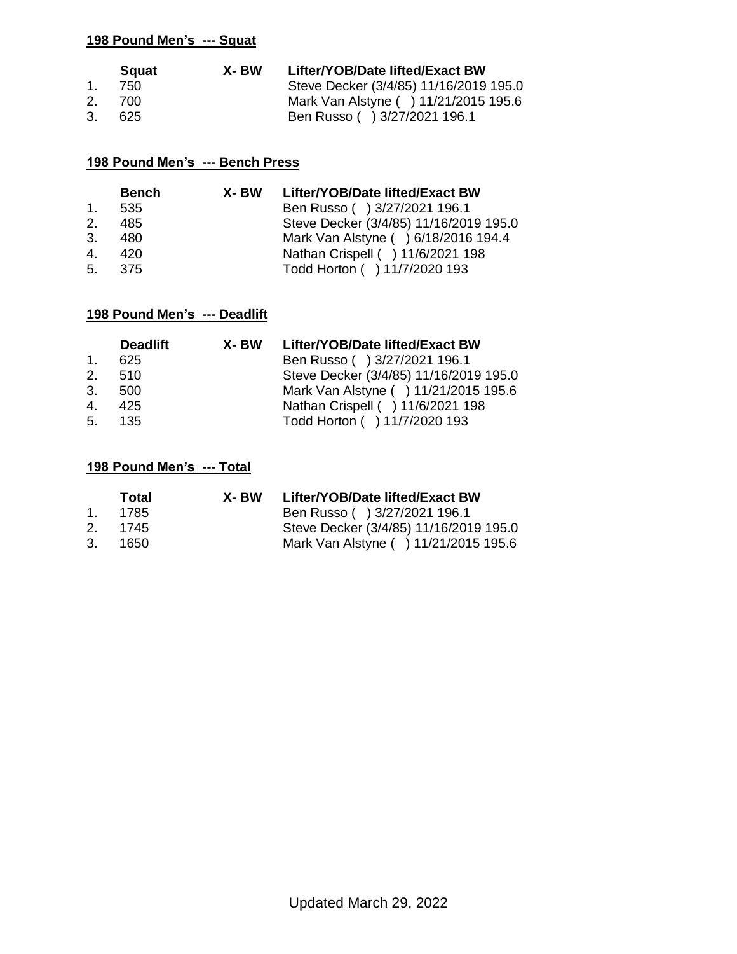|              | Squat  | X- BW | Lifter/YOB/Date lifted/Exact BW        |
|--------------|--------|-------|----------------------------------------|
| $1_{\ldots}$ | -750   |       | Steve Decker (3/4/85) 11/16/2019 195.0 |
|              | 2. 700 |       | Mark Van Alstyne ( ) 11/21/2015 195.6  |
| 3.           | -625   |       | Ben Russo ( ) 3/27/2021 196.1          |

### **198 Pound Men's --- Bench Press**

|               | <b>Bench</b> | X- BW | Lifter/YOB/Date lifted/Exact BW        |
|---------------|--------------|-------|----------------------------------------|
| $\mathbf 1$ . | 535          |       | Ben Russo ( ) 3/27/2021 196.1          |
| 2.            | 485          |       | Steve Decker (3/4/85) 11/16/2019 195.0 |
|               | 3. 480       |       | Mark Van Alstyne ( ) 6/18/2016 194.4   |
| $4_{\cdot}$   | - 420        |       | Nathan Crispell ( ) 11/6/2021 198      |
|               | 5. 375       |       | Todd Horton ( ) 11/7/2020 193          |

# **198 Pound Men's --- Deadlift**

|         | <b>Deadlift</b> | X- BW | Lifter/YOB/Date lifted/Exact BW        |
|---------|-----------------|-------|----------------------------------------|
| $1_{-}$ | 625             |       | Ben Russo ( ) 3/27/2021 196.1          |
|         | 2. 510          |       | Steve Decker (3/4/85) 11/16/2019 195.0 |
|         | 3.500           |       | Mark Van Alstyne ( ) 11/21/2015 195.6  |
|         | 4. 425          |       | Nathan Crispell ( ) 11/6/2021 198      |
|         | 5. 135          |       | Todd Horton ( ) 11/7/2020 193          |

|    | Total   | X- BW | Lifter/YOB/Date lifted/Exact BW        |
|----|---------|-------|----------------------------------------|
|    | 1. 1785 |       | Ben Russo ( ) 3/27/2021 196.1          |
|    | 2. 1745 |       | Steve Decker (3/4/85) 11/16/2019 195.0 |
| 3. | 1650    |       | Mark Van Alstyne ( ) 11/21/2015 195.6  |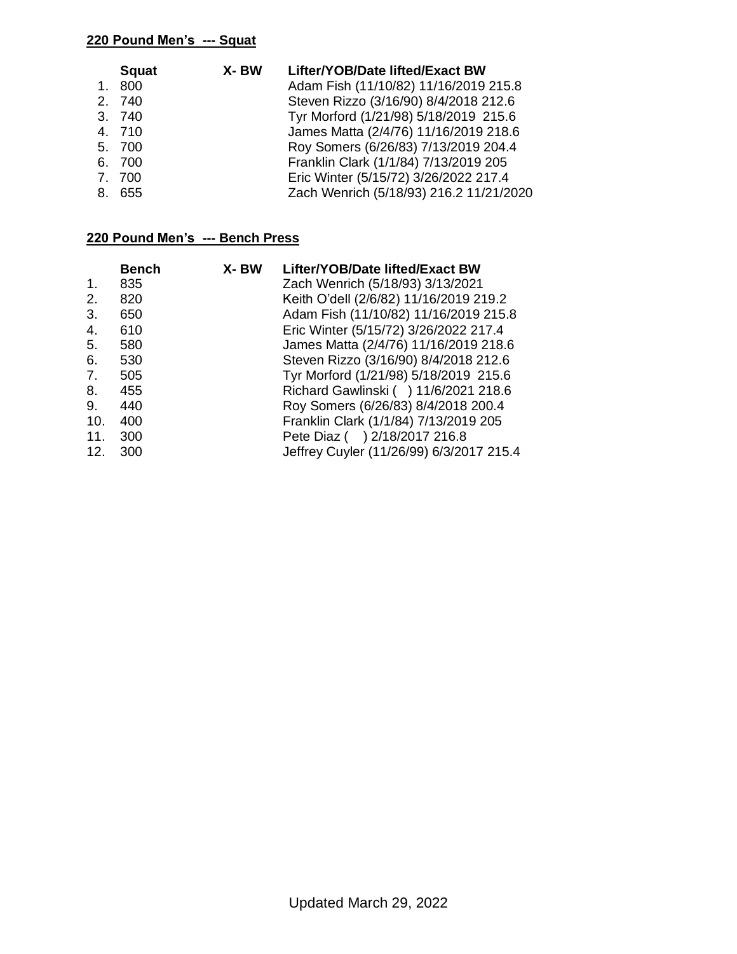|         | <b>Squat</b> | X-BW | Lifter/YOB/Date lifted/Exact BW         |
|---------|--------------|------|-----------------------------------------|
| $1_{-}$ | 800          |      | Adam Fish (11/10/82) 11/16/2019 215.8   |
|         | 2. 740       |      | Steven Rizzo (3/16/90) 8/4/2018 212.6   |
|         | 3. 740       |      | Tyr Morford (1/21/98) 5/18/2019 215.6   |
|         | 4. 710       |      | James Matta (2/4/76) 11/16/2019 218.6   |
|         | 5. 700       |      | Roy Somers (6/26/83) 7/13/2019 204.4    |
|         | 6. 700       |      | Franklin Clark (1/1/84) 7/13/2019 205   |
|         | 7. 700       |      | Eric Winter (5/15/72) 3/26/2022 217.4   |
|         | 8. 655       |      | Zach Wenrich (5/18/93) 216.2 11/21/2020 |
|         |              |      |                                         |

## **220 Pound Men's --- Bench Press**

| <b>Bench</b> | X-BW | Lifter/YOB/Date lifted/Exact BW          |
|--------------|------|------------------------------------------|
| 835          |      | Zach Wenrich (5/18/93) 3/13/2021         |
| 820          |      | Keith O'dell (2/6/82) 11/16/2019 219.2   |
| 650          |      | Adam Fish (11/10/82) 11/16/2019 215.8    |
| 610          |      | Eric Winter (5/15/72) 3/26/2022 217.4    |
| 580          |      | James Matta (2/4/76) 11/16/2019 218.6    |
| 530          |      | Steven Rizzo (3/16/90) 8/4/2018 212.6    |
| 505          |      | Tyr Morford (1/21/98) 5/18/2019 215.6    |
| 455          |      | Richard Gawlinski ( ) 11/6/2021 218.6    |
| 440          |      | Roy Somers (6/26/83) 8/4/2018 200.4      |
| 400          |      | Franklin Clark (1/1/84) 7/13/2019 205    |
| 300          |      | Pete Diaz ( ) 2/18/2017 216.8            |
| 300          |      | Jeffrey Cuyler (11/26/99) 6/3/2017 215.4 |
|              |      |                                          |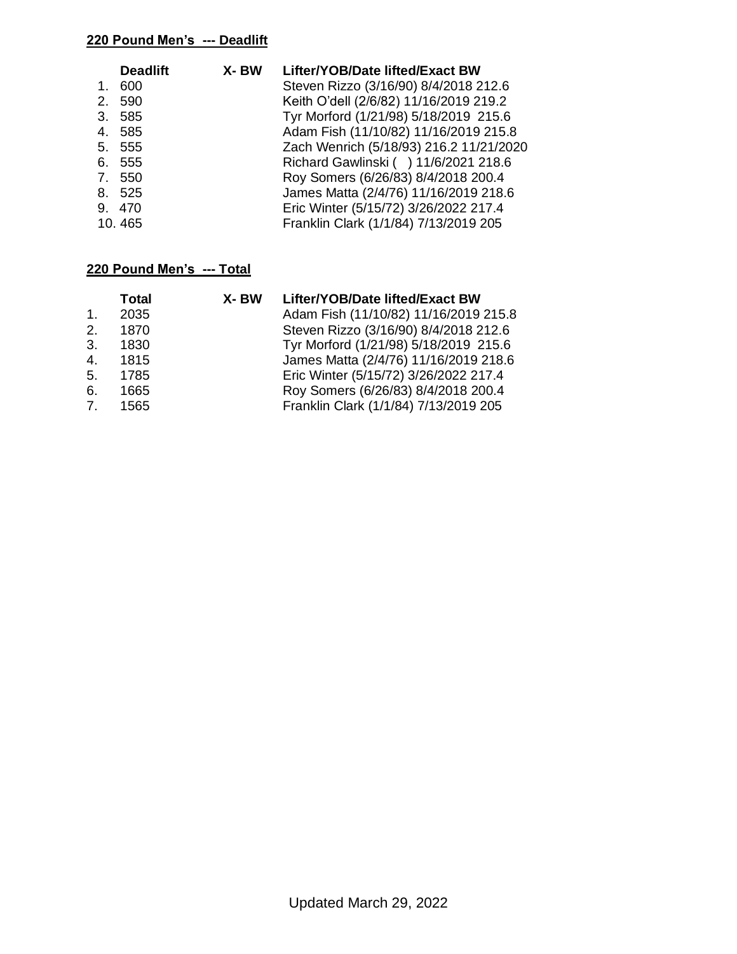### **220 Pound Men's --- Deadlift**

|             | <b>Deadlift</b> | X-BW | Lifter/YOB/Date lifted/Exact BW         |
|-------------|-----------------|------|-----------------------------------------|
| 1.          | 600             |      | Steven Rizzo (3/16/90) 8/4/2018 212.6   |
| 2.          | 590             |      | Keith O'dell (2/6/82) 11/16/2019 219.2  |
|             | 3. 585          |      | Tyr Morford (1/21/98) 5/18/2019 215.6   |
|             | 4. 585          |      | Adam Fish (11/10/82) 11/16/2019 215.8   |
|             | 5. 555          |      | Zach Wenrich (5/18/93) 216.2 11/21/2020 |
| 6.          | 555             |      | Richard Gawlinski ( ) 11/6/2021 218.6   |
| $7_{\circ}$ | 550             |      | Roy Somers (6/26/83) 8/4/2018 200.4     |
|             | 8. 525          |      | James Matta (2/4/76) 11/16/2019 218.6   |
|             | 9.470           |      | Eric Winter (5/15/72) 3/26/2022 217.4   |
|             | 10.465          |      | Franklin Clark (1/1/84) 7/13/2019 205   |

|                | <b>Total</b> | X-BW | Lifter/YOB/Date lifted/Exact BW       |
|----------------|--------------|------|---------------------------------------|
| $\mathbf{1}$ . | 2035         |      | Adam Fish (11/10/82) 11/16/2019 215.8 |
| 2.             | 1870         |      | Steven Rizzo (3/16/90) 8/4/2018 212.6 |
| 3.             | 1830         |      | Tyr Morford (1/21/98) 5/18/2019 215.6 |
| 4.             | 1815         |      | James Matta (2/4/76) 11/16/2019 218.6 |
| 5.             | 1785         |      | Eric Winter (5/15/72) 3/26/2022 217.4 |
| 6.             | 1665         |      | Roy Somers (6/26/83) 8/4/2018 200.4   |
| 7 <sup>1</sup> | 1565         |      | Franklin Clark (1/1/84) 7/13/2019 205 |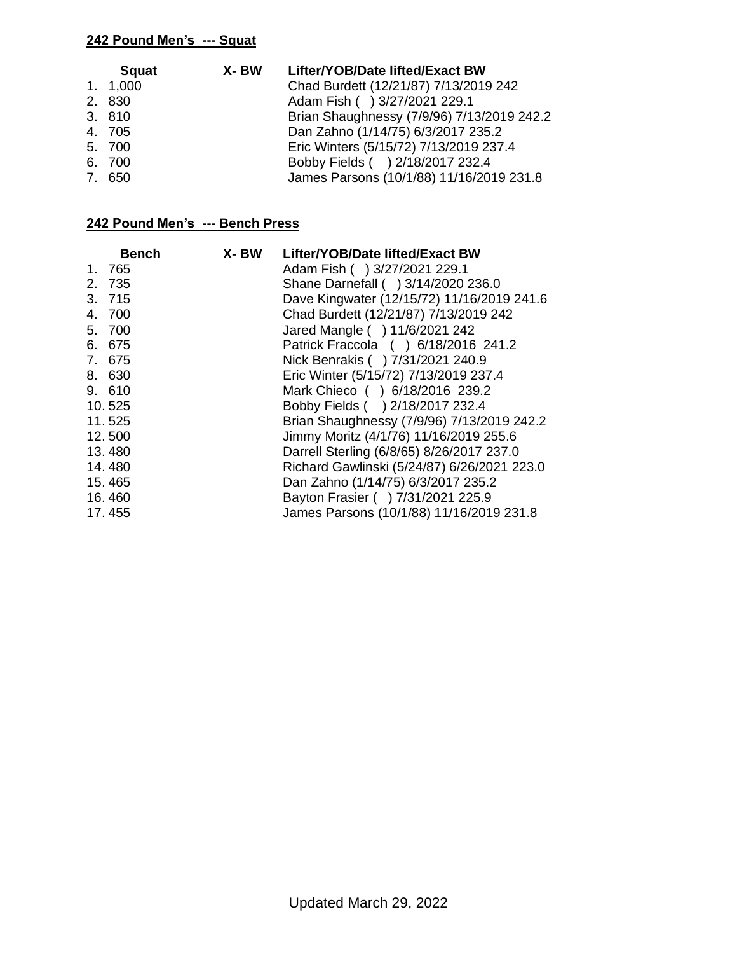| <b>Squat</b> | X- BW | Lifter/YOB/Date lifted/Exact BW            |
|--------------|-------|--------------------------------------------|
| 1. 1,000     |       | Chad Burdett (12/21/87) 7/13/2019 242      |
| 2. 830       |       | Adam Fish () 3/27/2021 229.1               |
| 3. 810       |       | Brian Shaughnessy (7/9/96) 7/13/2019 242.2 |
| 4. 705       |       | Dan Zahno (1/14/75) 6/3/2017 235.2         |
| 5. 700       |       | Eric Winters (5/15/72) 7/13/2019 237.4     |
| 6. 700       |       | Bobby Fields ( ) 2/18/2017 232.4           |
| 7. 650       |       | James Parsons (10/1/88) 11/16/2019 231.8   |

### **242 Pound Men's --- Bench Press**

| <b>Bench</b> | X- BW | Lifter/YOB/Date lifted/Exact BW             |
|--------------|-------|---------------------------------------------|
| 1. 765       |       | Adam Fish () 3/27/2021 229.1                |
| 2. 735       |       | Shane Darnefall ( ) 3/14/2020 236.0         |
| 3. 715       |       | Dave Kingwater (12/15/72) 11/16/2019 241.6  |
| 4. 700       |       | Chad Burdett (12/21/87) 7/13/2019 242       |
| 5. 700       |       | Jared Mangle ( ) 11/6/2021 242              |
| 6. 675       |       | Patrick Fraccola () 6/18/2016 241.2         |
| 7. 675       |       | Nick Benrakis ( ) 7/31/2021 240.9           |
| 8. 630       |       | Eric Winter (5/15/72) 7/13/2019 237.4       |
| 9. 610       |       | Mark Chieco () 6/18/2016 239.2              |
| 10.525       |       | Bobby Fields ( ) 2/18/2017 232.4            |
| 11.525       |       | Brian Shaughnessy (7/9/96) 7/13/2019 242.2  |
| 12.500       |       | Jimmy Moritz (4/1/76) 11/16/2019 255.6      |
| 13.480       |       | Darrell Sterling (6/8/65) 8/26/2017 237.0   |
| 14.480       |       | Richard Gawlinski (5/24/87) 6/26/2021 223.0 |
| 15.465       |       | Dan Zahno (1/14/75) 6/3/2017 235.2          |
| 16.460       |       | Bayton Frasier ( ) 7/31/2021 225.9          |
| 17.455       |       | James Parsons (10/1/88) 11/16/2019 231.8    |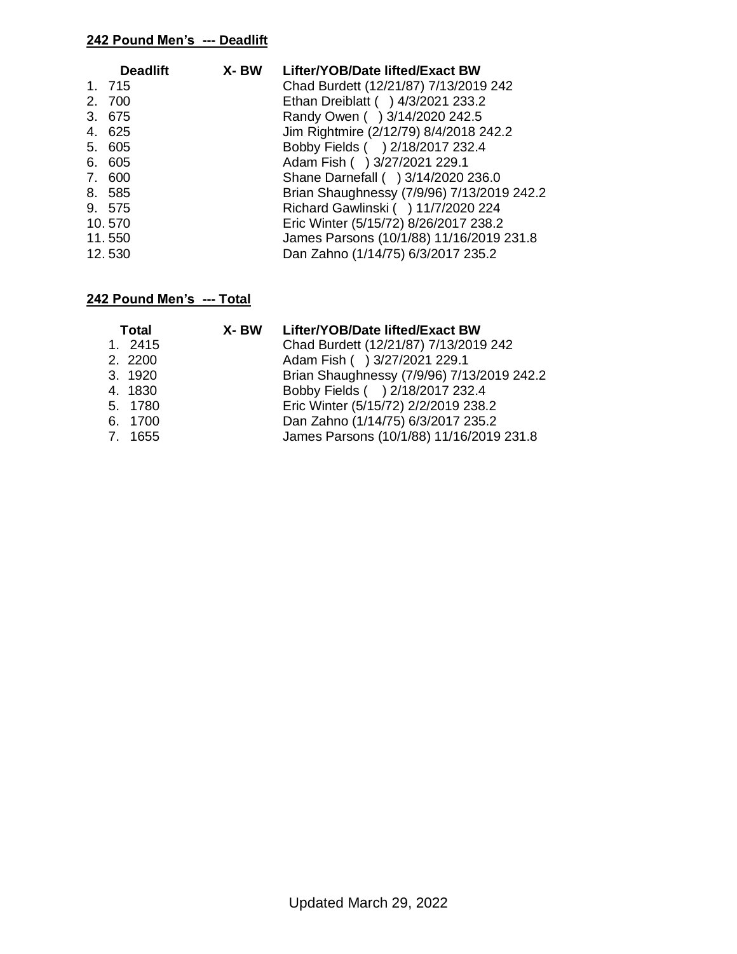### **242 Pound Men's --- Deadlift**

| <b>Deadlift</b> | X- BW | Lifter/YOB/Date lifted/Exact BW            |
|-----------------|-------|--------------------------------------------|
| 1. 715          |       | Chad Burdett (12/21/87) 7/13/2019 242      |
| 2. 700          |       | Ethan Dreiblatt ( ) 4/3/2021 233.2         |
| 3. 675          |       | Randy Owen () 3/14/2020 242.5              |
| 4. 625          |       | Jim Rightmire (2/12/79) 8/4/2018 242.2     |
| 5. 605          |       | Bobby Fields ( ) 2/18/2017 232.4           |
| 6. 605          |       | Adam Fish () 3/27/2021 229.1               |
| 7. 600          |       | Shane Darnefall ( ) 3/14/2020 236.0        |
| 8. 585          |       | Brian Shaughnessy (7/9/96) 7/13/2019 242.2 |
| 9. 575          |       | Richard Gawlinski ( ) 11/7/2020 224        |
| 10.570          |       | Eric Winter (5/15/72) 8/26/2017 238.2      |
| 11.550          |       | James Parsons (10/1/88) 11/16/2019 231.8   |
| 12.530          |       | Dan Zahno (1/14/75) 6/3/2017 235.2         |

| Total   | X- BW | Lifter/YOB/Date lifted/Exact BW            |
|---------|-------|--------------------------------------------|
| 1. 2415 |       | Chad Burdett (12/21/87) 7/13/2019 242      |
| 2. 2200 |       | Adam Fish () 3/27/2021 229.1               |
| 3. 1920 |       | Brian Shaughnessy (7/9/96) 7/13/2019 242.2 |
| 4. 1830 |       | Bobby Fields ( ) 2/18/2017 232.4           |
| 5. 1780 |       | Eric Winter (5/15/72) 2/2/2019 238.2       |
| 6. 1700 |       | Dan Zahno (1/14/75) 6/3/2017 235.2         |
| 7. 1655 |       | James Parsons (10/1/88) 11/16/2019 231.8   |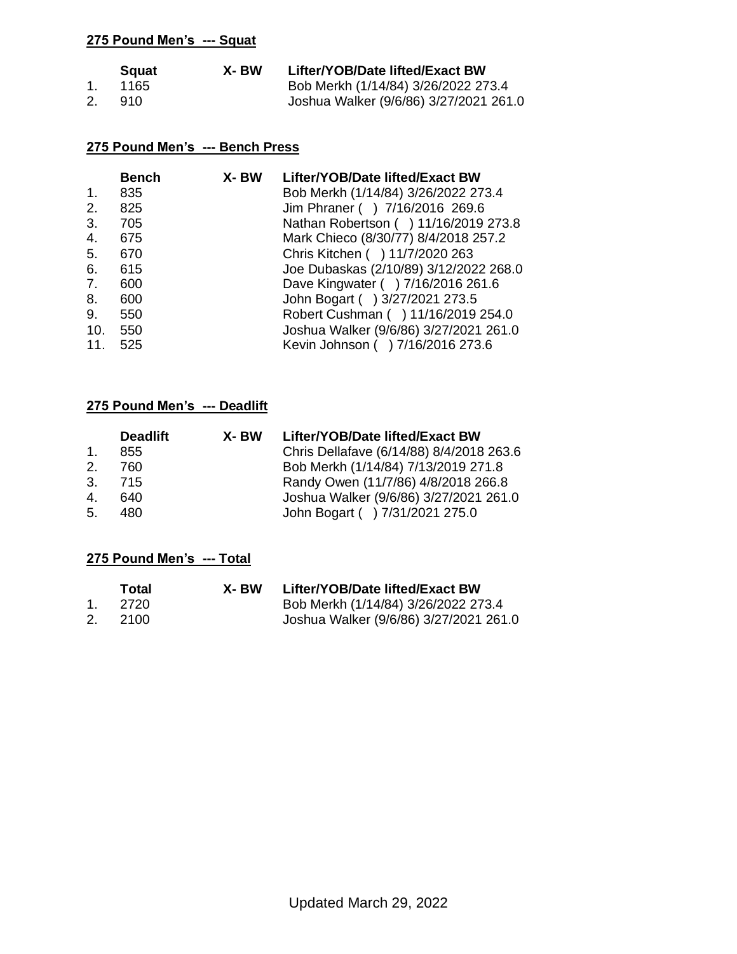|    | <b>S</b> quat | X- BW | Lifter/YOB/Date lifted/Exact BW        |
|----|---------------|-------|----------------------------------------|
|    | 1165          |       | Bob Merkh (1/14/84) 3/26/2022 273.4    |
| 2. | 910           |       | Joshua Walker (9/6/86) 3/27/2021 261.0 |

### **275 Pound Men's --- Bench Press**

| Lifter/YOB/Date lifted/Exact BW        |
|----------------------------------------|
| Bob Merkh (1/14/84) 3/26/2022 273.4    |
| Jim Phraner () 7/16/2016 269.6         |
| Nathan Robertson ( ) 11/16/2019 273.8  |
| Mark Chieco (8/30/77) 8/4/2018 257.2   |
| Chris Kitchen ( ) 11/7/2020 263        |
| Joe Dubaskas (2/10/89) 3/12/2022 268.0 |
| Dave Kingwater ( ) 7/16/2016 261.6     |
| John Bogart () 3/27/2021 273.5         |
| Robert Cushman ( ) 11/16/2019 254.0    |
| Joshua Walker (9/6/86) 3/27/2021 261.0 |
| Kevin Johnson ( ) 7/16/2016 273.6      |
|                                        |

# **275 Pound Men's --- Deadlift**

|                | <b>Deadlift</b> | X- BW | Lifter/YOB/Date lifted/Exact BW          |
|----------------|-----------------|-------|------------------------------------------|
| $\mathbf{1}$ . | 855             |       | Chris Dellafave (6/14/88) 8/4/2018 263.6 |
| 2.             | 760             |       | Bob Merkh (1/14/84) 7/13/2019 271.8      |
| $\mathbf{3}$   | - 715           |       | Randy Owen (11/7/86) 4/8/2018 266.8      |
| $\mathbf{4}$ . | 640             |       | Joshua Walker (9/6/86) 3/27/2021 261.0   |
| 5 <sub>1</sub> | 480             |       | John Bogart ( ) 7/31/2021 275.0          |

| Total   | X- BW | Lifter/YOB/Date lifted/Exact BW        |
|---------|-------|----------------------------------------|
| 1. 2720 |       | Bob Merkh (1/14/84) 3/26/2022 273.4    |
| 2. 2100 |       | Joshua Walker (9/6/86) 3/27/2021 261.0 |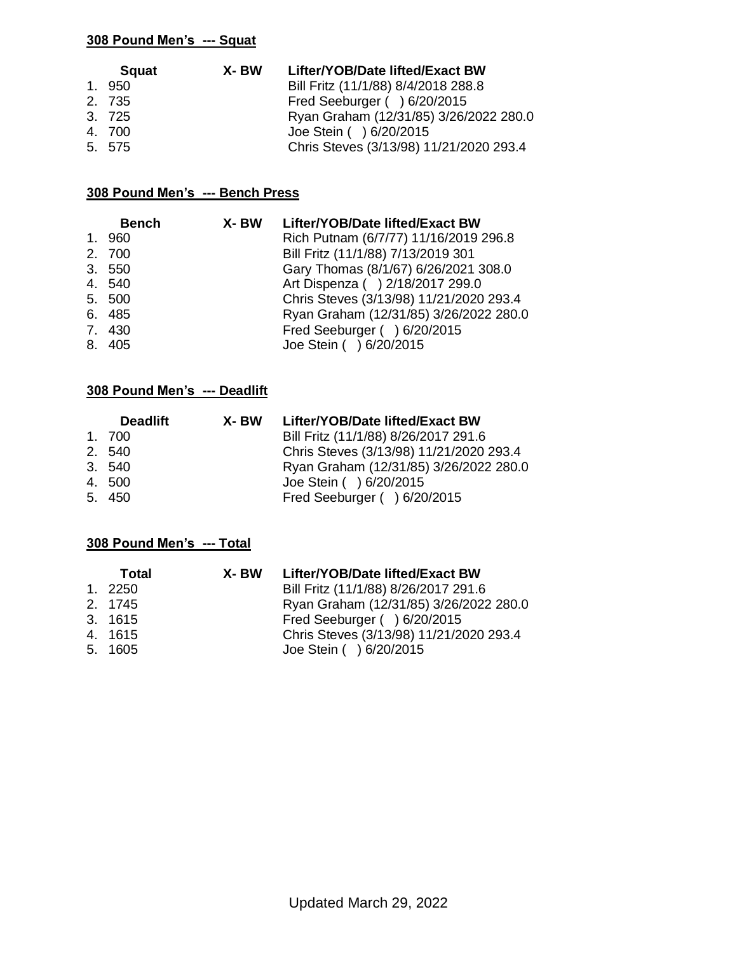| <b>Squat</b> | X-BW | Lifter/YOB/Date lifted/Exact BW         |
|--------------|------|-----------------------------------------|
| 1.950        |      | Bill Fritz (11/1/88) 8/4/2018 288.8     |
| 2. 735       |      | Fred Seeburger () 6/20/2015             |
| 3. 725       |      | Ryan Graham (12/31/85) 3/26/2022 280.0  |
| 4. 700       |      | Joe Stein ( ) 6/20/2015                 |
| 5. 575       |      | Chris Steves (3/13/98) 11/21/2020 293.4 |

### **308 Pound Men's --- Bench Press**

| <b>Bench</b> | X-BW | Lifter/YOB/Date lifted/Exact BW         |
|--------------|------|-----------------------------------------|
| 1.960        |      | Rich Putnam (6/7/77) 11/16/2019 296.8   |
| 2. 700       |      | Bill Fritz (11/1/88) 7/13/2019 301      |
| 3. 550       |      | Gary Thomas (8/1/67) 6/26/2021 308.0    |
| 4. 540       |      | Art Dispenza ( ) 2/18/2017 299.0        |
| 5. 500       |      | Chris Steves (3/13/98) 11/21/2020 293.4 |
| 6. 485       |      | Ryan Graham (12/31/85) 3/26/2022 280.0  |
| 7.430        |      | Fred Seeburger ( ) 6/20/2015            |
| 8. 405       |      | Joe Stein ( ) 6/20/2015                 |

## **308 Pound Men's --- Deadlift**

| <b>Deadlift</b> | X- BW | Lifter/YOB/Date lifted/Exact BW         |
|-----------------|-------|-----------------------------------------|
| 1. 700          |       | Bill Fritz (11/1/88) 8/26/2017 291.6    |
| 2. 540          |       | Chris Steves (3/13/98) 11/21/2020 293.4 |
| 3. 540          |       | Ryan Graham (12/31/85) 3/26/2022 280.0  |
| 4.500           |       | Joe Stein ( ) 6/20/2015                 |
| 5. 450          |       | Fred Seeburger ( ) 6/20/2015            |

| Total   | X- BW | Lifter/YOB/Date lifted/Exact BW         |
|---------|-------|-----------------------------------------|
| 1. 2250 |       | Bill Fritz (11/1/88) 8/26/2017 291.6    |
| 2. 1745 |       | Ryan Graham (12/31/85) 3/26/2022 280.0  |
| 3. 1615 |       | Fred Seeburger ( ) 6/20/2015            |
| 4. 1615 |       | Chris Steves (3/13/98) 11/21/2020 293.4 |
| 5. 1605 |       | Joe Stein ( ) 6/20/2015                 |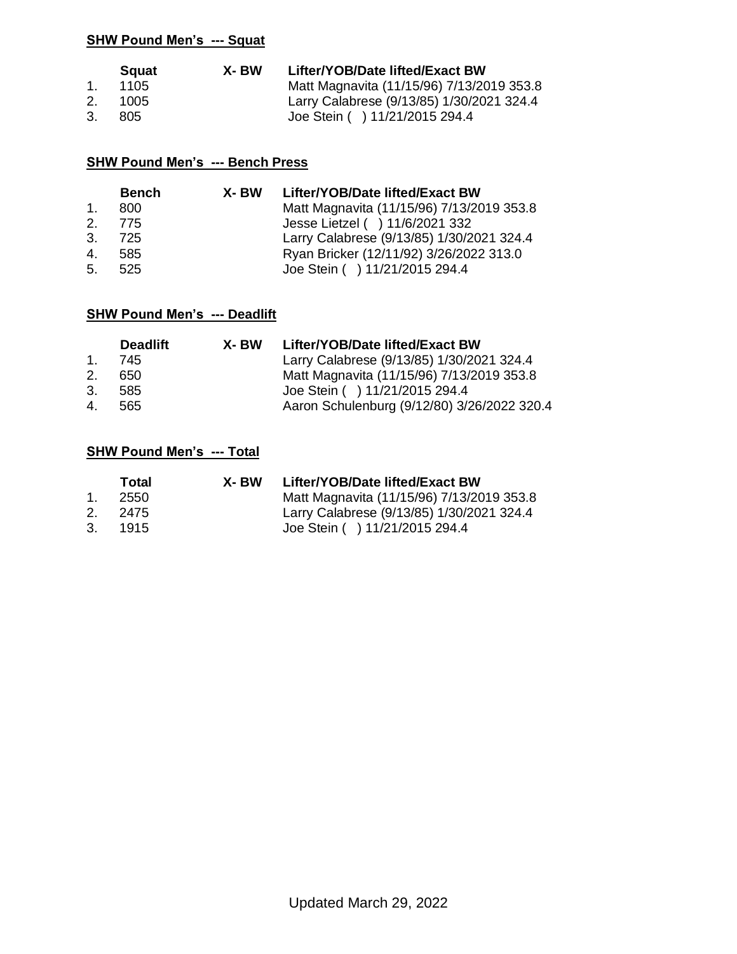|         | <b>S</b> quat | X- BW | Lifter/YOB/Date lifted/Exact BW           |
|---------|---------------|-------|-------------------------------------------|
| $1_{-}$ | -1105 -       |       | Matt Magnavita (11/15/96) 7/13/2019 353.8 |
| 2.      | 1005          |       | Larry Calabrese (9/13/85) 1/30/2021 324.4 |
| 3.      | 805           |       | Joe Stein ( ) 11/21/2015 294.4            |

### **SHW Pound Men's --- Bench Press**

|                | <b>Bench</b> | X- BW | Lifter/YOB/Date lifted/Exact BW           |
|----------------|--------------|-------|-------------------------------------------|
| $\mathbf{1}$ . | 800          |       | Matt Magnavita (11/15/96) 7/13/2019 353.8 |
|                | 2. 775       |       | Jesse Lietzel ( ) 11/6/2021 332           |
|                | 3. 725       |       | Larry Calabrese (9/13/85) 1/30/2021 324.4 |
| $4_{\cdot}$    | - 585        |       | Ryan Bricker (12/11/92) 3/26/2022 313.0   |
| 5.             | - 525        |       | Joe Stein ( ) 11/21/2015 294.4            |

# **SHW Pound Men's --- Deadlift**

|             | <b>Deadlift</b> | X- BW | Lifter/YOB/Date lifted/Exact BW             |
|-------------|-----------------|-------|---------------------------------------------|
| $1_{-}$     | 745             |       | Larry Calabrese (9/13/85) 1/30/2021 324.4   |
| $2^{2}$     | 650             |       | Matt Magnavita (11/15/96) 7/13/2019 353.8   |
| 3.          | 585             |       | Joe Stein ( ) 11/21/2015 294.4              |
| $4_{\cdot}$ | 565             |       | Aaron Schulenburg (9/12/80) 3/26/2022 320.4 |

|         | Total   | X-BW | Lifter/YOB/Date lifted/Exact BW           |
|---------|---------|------|-------------------------------------------|
| $1_{-}$ | -2550   |      | Matt Magnavita (11/15/96) 7/13/2019 353.8 |
|         | 2. 2475 |      | Larry Calabrese (9/13/85) 1/30/2021 324.4 |
| 3.      | 1915    |      | Joe Stein ( ) 11/21/2015 294.4            |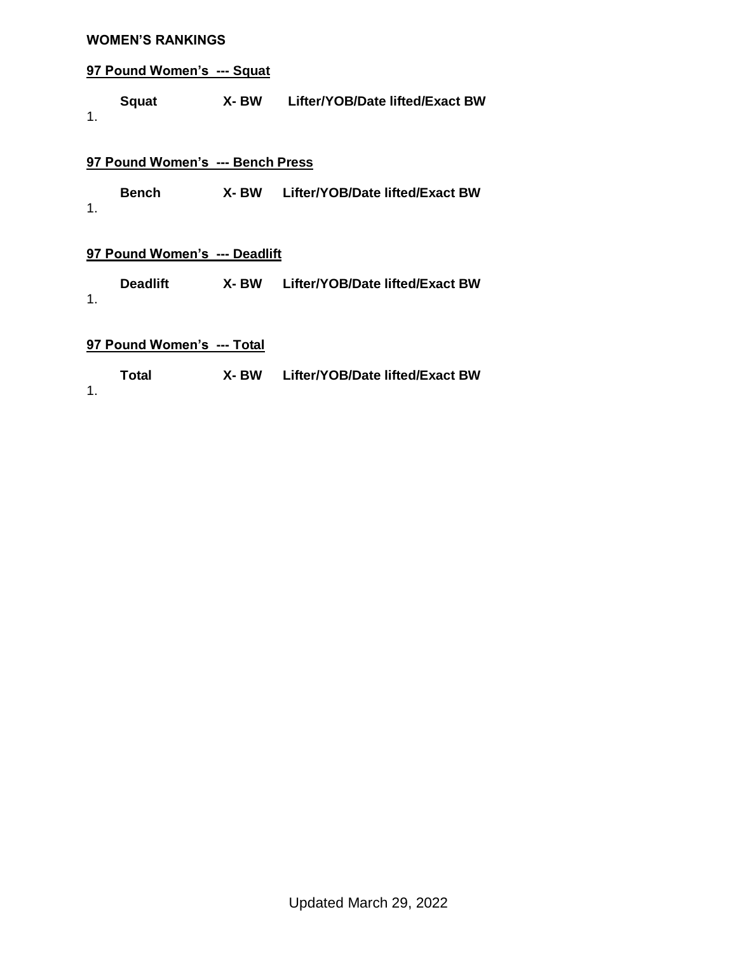#### **WOMEN'S RANKINGS**

### **97 Pound Women's --- Squat**

**Squat X- BW Lifter/YOB/Date lifted/Exact BW** 1.

### **97 Pound Women's --- Bench Press**

**Bench X- BW Lifter/YOB/Date lifted/Exact BW** 1.

### **97 Pound Women's --- Deadlift**

**Deadlift X- BW Lifter/YOB/Date lifted/Exact BW** 1.

#### **97 Pound Women's --- Total**

**Total X- BW Lifter/YOB/Date lifted/Exact BW**

1.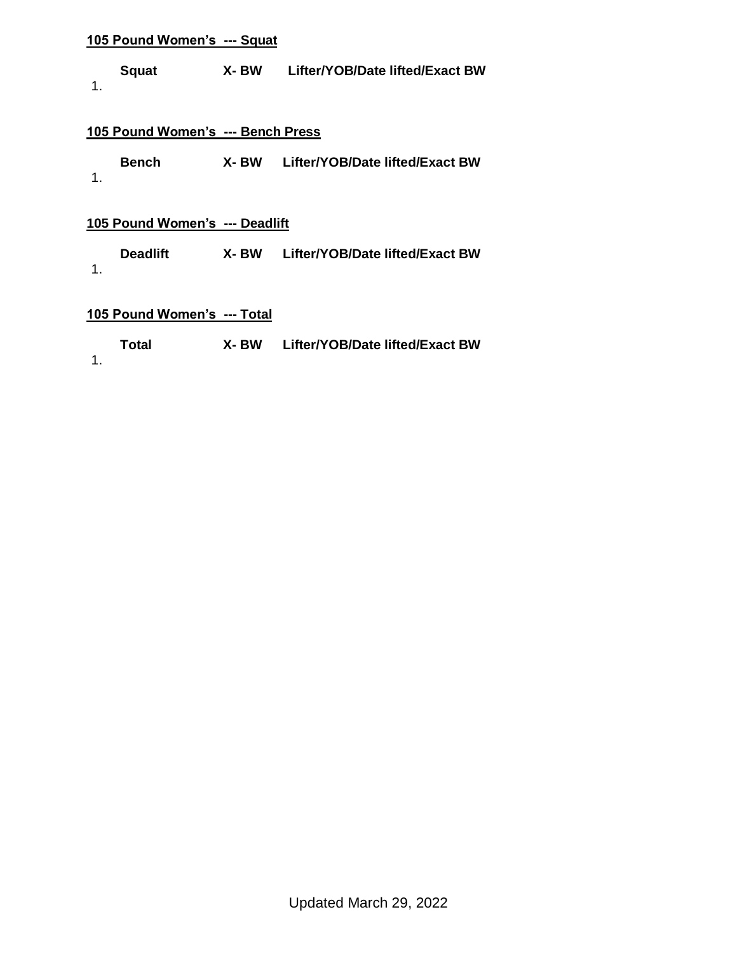**Squat X- BW Lifter/YOB/Date lifted/Exact BW** 1.

#### **105 Pound Women's --- Bench Press**

| <b>Bench</b> | X- BW | Lifter/YOB/Date lifted/Exact BW |
|--------------|-------|---------------------------------|
|              |       |                                 |

#### **105 Pound Women's --- Deadlift**

**Deadlift X- BW Lifter/YOB/Date lifted/Exact BW** 1.

| Total         | X- BW | Lifter/YOB/Date lifted/Exact BW |
|---------------|-------|---------------------------------|
| $\mathbf 1$ . |       |                                 |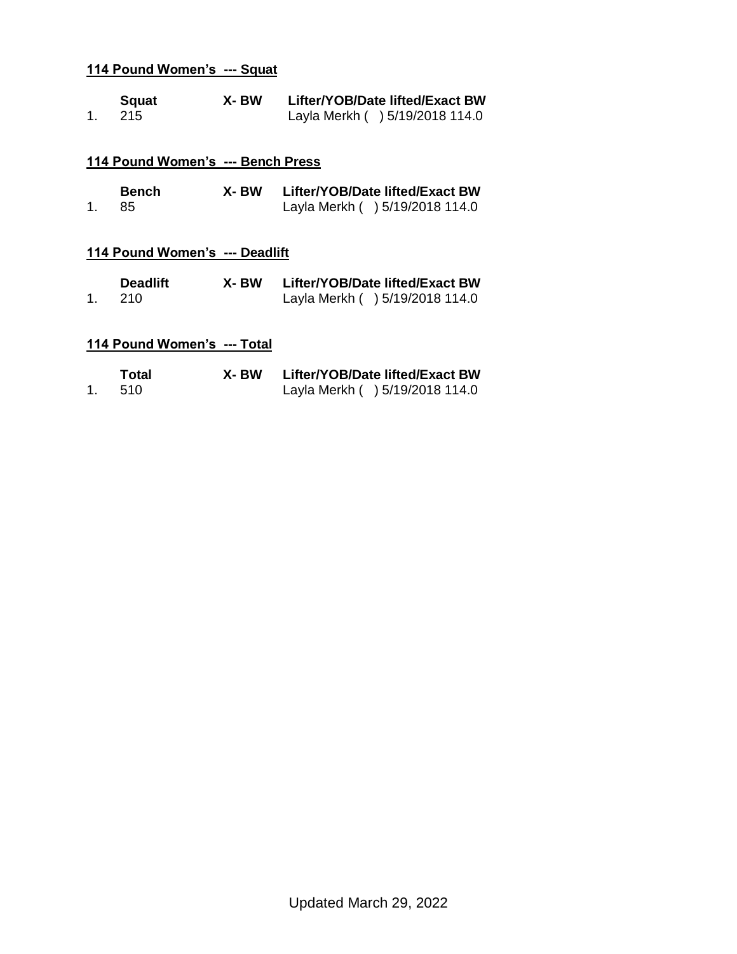|    | Squat | X- BW | Lifter/YOB/Date lifted/Exact BW |
|----|-------|-------|---------------------------------|
| 1. | - 215 |       | Layla Merkh () 5/19/2018 114.0  |

### **114 Pound Women's --- Bench Press**

|    | <b>Bench</b> | X- BW | Lifter/YOB/Date lifted/Exact BW |
|----|--------------|-------|---------------------------------|
| 1. | - 85         |       | Layla Merkh ( ) 5/19/2018 114.0 |

### **114 Pound Women's --- Deadlift**

|    | <b>Deadlift</b> | X- BW | Lifter/YOB/Date lifted/Exact BW |
|----|-----------------|-------|---------------------------------|
| 1. | - 210 -         |       | Layla Merkh () 5/19/2018 114.0  |

| Total | X- BW | Lifter/YOB/Date lifted/Exact BW |
|-------|-------|---------------------------------|
| - 510 |       | Layla Merkh () 5/19/2018 114.0  |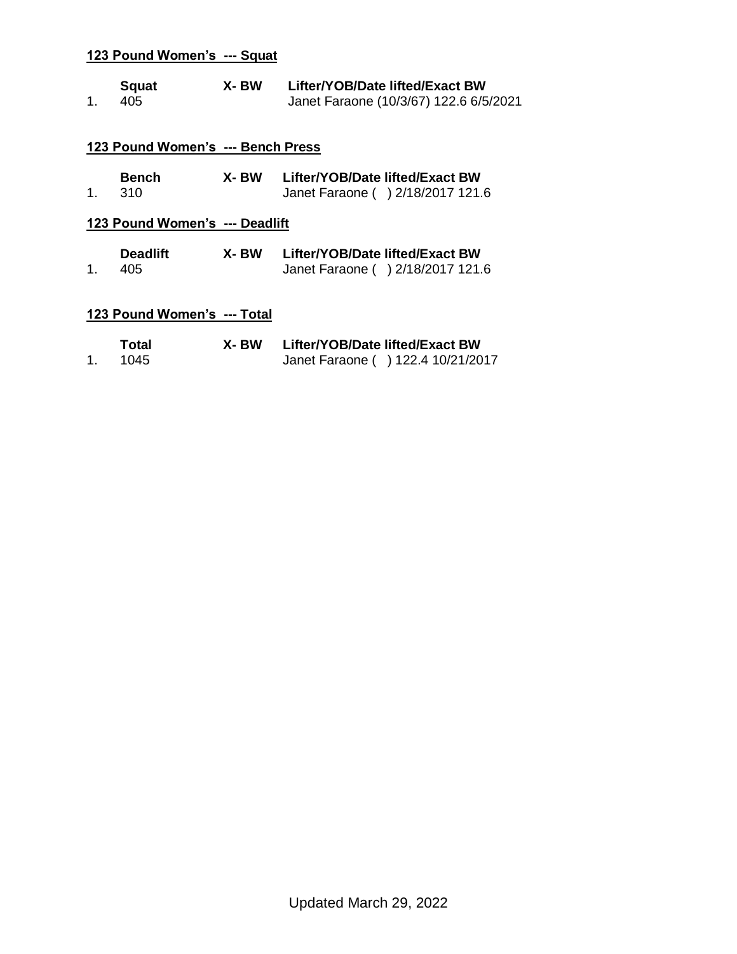| $1_{-}$ | <b>Squat</b><br>405               | X- BW | Lifter/YOB/Date lifted/Exact BW<br>Janet Faraone (10/3/67) 122.6 6/5/2021 |
|---------|-----------------------------------|-------|---------------------------------------------------------------------------|
|         | 123 Pound Women's --- Bench Press |       |                                                                           |
| $1_{-}$ | <b>Bench</b><br>310               | X- BW | Lifter/YOB/Date lifted/Exact BW<br>Janet Faraone ( ) 2/18/2017 121.6      |
|         | 123 Pound Women's --- Deadlift    |       |                                                                           |
| 1.      | <b>Deadlift</b><br>405            | X- BW | Lifter/YOB/Date lifted/Exact BW<br>Janet Faraone ( ) 2/18/2017 121.6      |
|         | 123 Pound Women's --- Total       |       |                                                                           |
| 1.      | Total<br>1045                     | X- BW | Lifter/YOB/Date lifted/Exact BW<br>Janet Faraone ( ) 122.4 10/21/2017     |

1. 1045 Janet Faraone ( ) 122.4 10/21/2017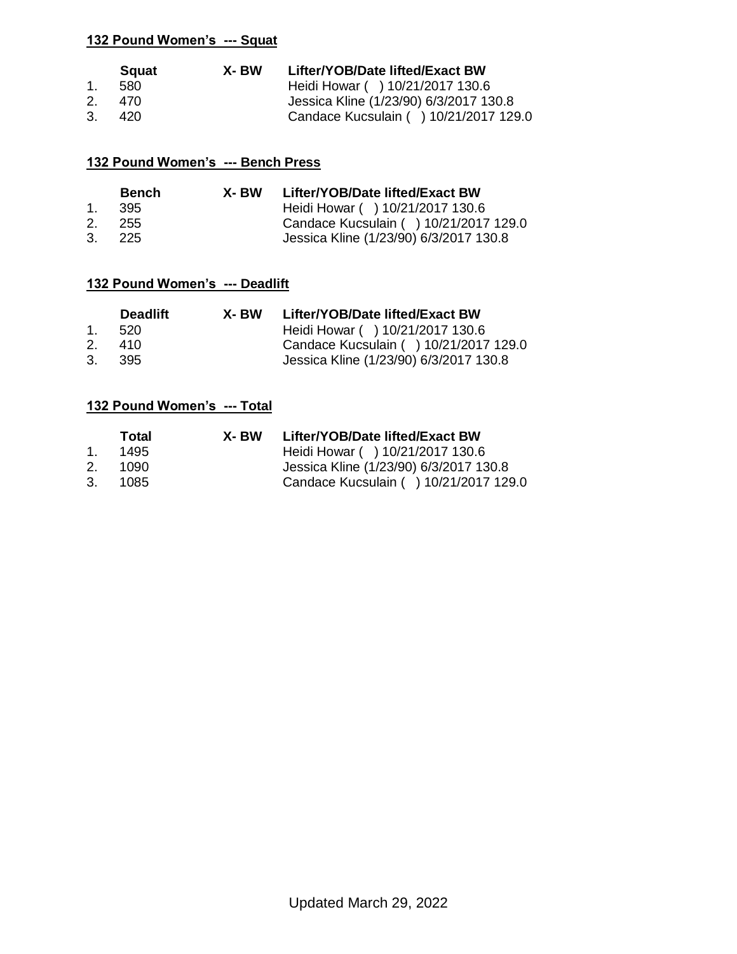|         | <b>Squat</b> | X-BW | Lifter/YOB/Date lifted/Exact BW        |
|---------|--------------|------|----------------------------------------|
| $1_{-}$ | 580          |      | Heidi Howar ( ) 10/21/2017 130.6       |
| 2.      | - 470        |      | Jessica Kline (1/23/90) 6/3/2017 130.8 |
| 3.      | 420          |      | Candace Kucsulain ( ) 10/21/2017 129.0 |

### **132 Pound Women's --- Bench Press**

| <b>Bench</b> | X- BW | Lifter/YOB/Date lifted/Exact BW        |
|--------------|-------|----------------------------------------|
| 1. 395       |       | Heidi Howar ( ) 10/21/2017 130.6       |
| 2. 255       |       | Candace Kucsulain ( ) 10/21/2017 129.0 |
| 3.225        |       | Jessica Kline (1/23/90) 6/3/2017 130.8 |

### **132 Pound Women's --- Deadlift**

|    | <b>Deadlift</b> | X- BW | Lifter/YOB/Date lifted/Exact BW        |
|----|-----------------|-------|----------------------------------------|
|    | 1. 520          |       | Heidi Howar ( ) 10/21/2017 130.6       |
| 2. | 410             |       | Candace Kucsulain ( ) 10/21/2017 129.0 |
| 3. | - 395           |       | Jessica Kline (1/23/90) 6/3/2017 130.8 |

|                | Total  | X- BW | Lifter/YOB/Date lifted/Exact BW        |
|----------------|--------|-------|----------------------------------------|
| 1 <sup>1</sup> | 1495   |       | Heidi Howar ( ) 10/21/2017 130.6       |
| 2.             | - 1090 |       | Jessica Kline (1/23/90) 6/3/2017 130.8 |
| 3.             | 1085   |       | Candace Kucsulain ( ) 10/21/2017 129.0 |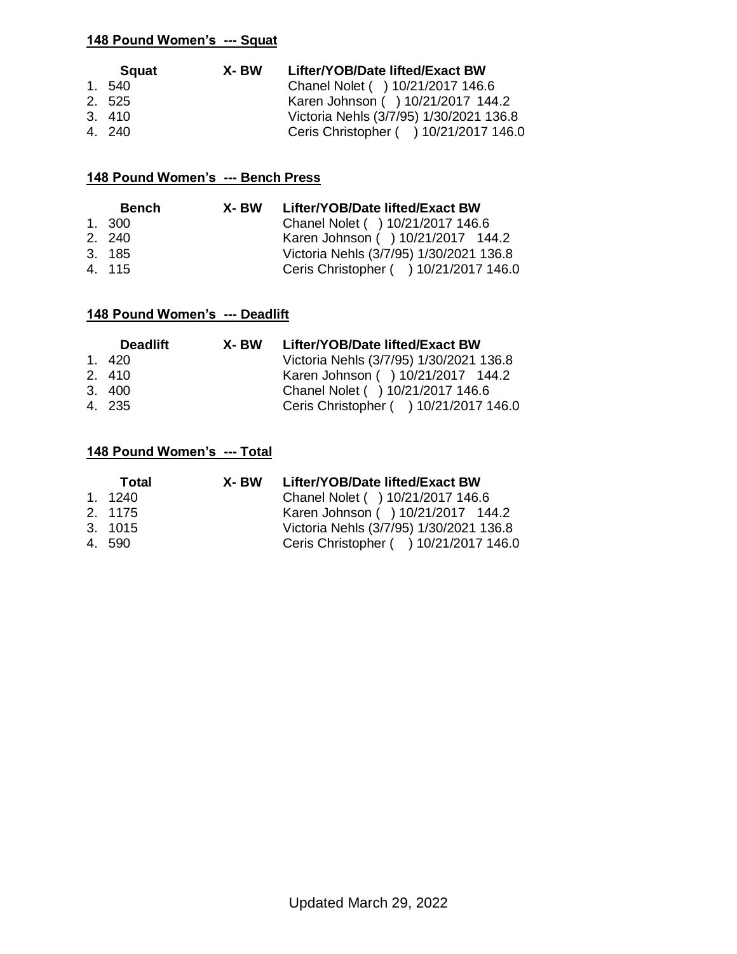| <b>Squat</b> | X- BW | Lifter/YOB/Date lifted/Exact BW         |
|--------------|-------|-----------------------------------------|
| 1. 540       |       | Chanel Nolet ( ) 10/21/2017 146.6       |
| 2. 525       |       | Karen Johnson ( ) 10/21/2017 144.2      |
| 3.410        |       | Victoria Nehls (3/7/95) 1/30/2021 136.8 |
| 4. 240       |       | Ceris Christopher ( ) 10/21/2017 146.0  |

### **148 Pound Women's --- Bench Press**

| <b>Bench</b> | X- BW | Lifter/YOB/Date lifted/Exact BW         |
|--------------|-------|-----------------------------------------|
| 1, 300       |       | Chanel Nolet ( ) 10/21/2017 146.6       |
| 2. 240       |       | Karen Johnson ( ) 10/21/2017 144.2      |
| 3. 185       |       | Victoria Nehls (3/7/95) 1/30/2021 136.8 |
| 4. 115       |       | Ceris Christopher ( ) 10/21/2017 146.0  |

# **148 Pound Women's --- Deadlift**

| <b>Deadlift</b> | X- BW | Lifter/YOB/Date lifted/Exact BW         |
|-----------------|-------|-----------------------------------------|
| 1,420           |       | Victoria Nehls (3/7/95) 1/30/2021 136.8 |
| 2.410           |       | Karen Johnson ( ) 10/21/2017 144.2      |
| 3.400           |       | Chanel Nolet ( ) 10/21/2017 146.6       |
| 4. 235          |       | Ceris Christopher ( ) 10/21/2017 146.0  |

| Total   | X- BW | Lifter/YOB/Date lifted/Exact BW         |
|---------|-------|-----------------------------------------|
| 1. 1240 |       | Chanel Nolet ( ) 10/21/2017 146.6       |
| 2. 1175 |       | Karen Johnson ( ) 10/21/2017 144.2      |
| 3. 1015 |       | Victoria Nehls (3/7/95) 1/30/2021 136.8 |
| 4.590   |       | Ceris Christopher ( ) 10/21/2017 146.0  |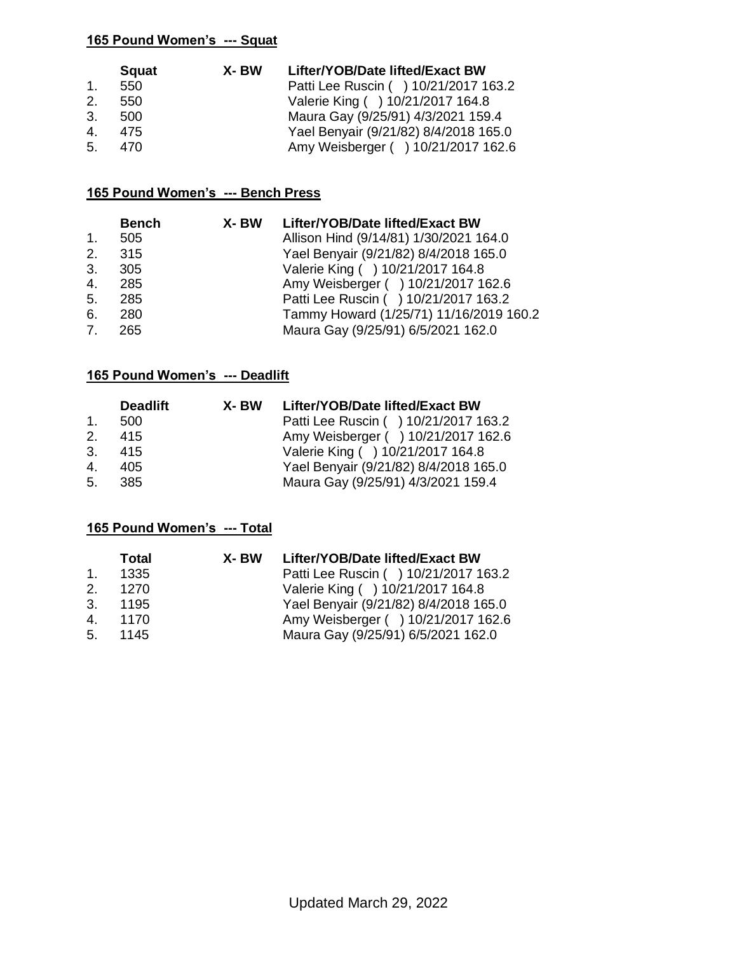|                | <b>Squat</b> | X- BW | Lifter/YOB/Date lifted/Exact BW       |
|----------------|--------------|-------|---------------------------------------|
| $1_{-}$        | 550          |       | Patti Lee Ruscin ( ) 10/21/2017 163.2 |
| 2.             | 550          |       | Valerie King ( ) 10/21/2017 164.8     |
| $\mathbf{3}$ . | 500          |       | Maura Gay (9/25/91) 4/3/2021 159.4    |
|                | 4. 475       |       | Yael Benyair (9/21/82) 8/4/2018 165.0 |
| 5.             | - 470        |       | Amy Weisberger ( ) 10/21/2017 162.6   |

### **165 Pound Women's --- Bench Press**

|                                | <b>Bench</b> | X- BW Lifter/YOB/Date lifted/Exact BW   |
|--------------------------------|--------------|-----------------------------------------|
| 1.                             | 505          | Allison Hind (9/14/81) 1/30/2021 164.0  |
| 2.                             | - 315        | Yael Benyair (9/21/82) 8/4/2018 165.0   |
| 3.                             | 305          | Valerie King ( ) 10/21/2017 164.8       |
| 4.                             | 285          | Amy Weisberger ( ) 10/21/2017 162.6     |
| 5 <sub>1</sub>                 | 285          | Patti Lee Ruscin ( ) 10/21/2017 163.2   |
| 6.                             | 280          | Tammy Howard (1/25/71) 11/16/2019 160.2 |
| $7_{\scriptscriptstyle{\sim}}$ | 265          | Maura Gay (9/25/91) 6/5/2021 162.0      |

### **165 Pound Women's --- Deadlift**

|                | <b>Deadlift</b> | X- BW | Lifter/YOB/Date lifted/Exact BW       |
|----------------|-----------------|-------|---------------------------------------|
| $1_{-}$        | 500             |       | Patti Lee Ruscin ( ) 10/21/2017 163.2 |
| 2.             | 415             |       | Amy Weisberger ( ) 10/21/2017 162.6   |
| $\mathbf{3}$ . | -415            |       | Valerie King ( ) 10/21/2017 164.8     |
| 4.             | 405             |       | Yael Benyair (9/21/82) 8/4/2018 165.0 |
| 5.             | -385            |       | Maura Gay (9/25/91) 4/3/2021 159.4    |

|              | Total  | X- BW | Lifter/YOB/Date lifted/Exact BW       |
|--------------|--------|-------|---------------------------------------|
| $\mathbf{1}$ | 1335   |       | Patti Lee Ruscin ( ) 10/21/2017 163.2 |
| 2.           | 1270   |       | Valerie King ( ) 10/21/2017 164.8     |
| $\mathbf{3}$ | 1195   |       | Yael Benyair (9/21/82) 8/4/2018 165.0 |
| $\mathbf{4}$ | 1170   |       | Amy Weisberger ( ) 10/21/2017 162.6   |
|              | 5.1145 |       | Maura Gay (9/25/91) 6/5/2021 162.0    |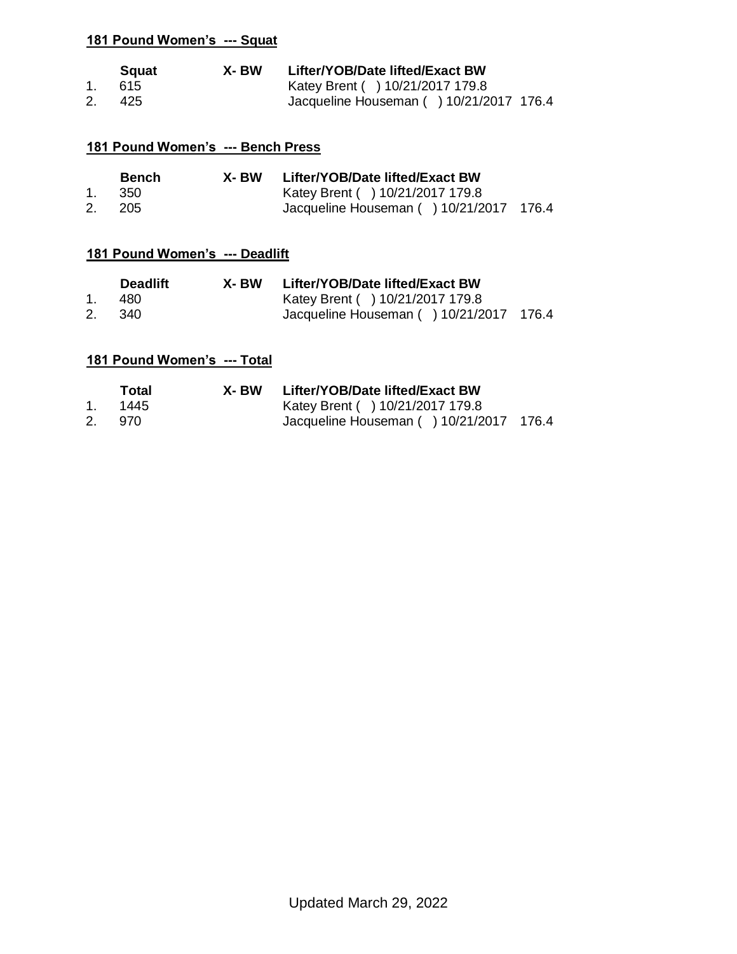|    | Sauat  | X- BW | Lifter/YOB/Date lifted/Exact BW         |
|----|--------|-------|-----------------------------------------|
|    | 1. 615 |       | Katey Brent () 10/21/2017 179.8         |
| 2. | - 425  |       | Jacqueline Houseman () 10/21/2017 176.4 |

### **181 Pound Women's --- Bench Press**

|    | <b>Bench</b> | X- BW | Lifter/YOB/Date lifted/Exact BW         |  |
|----|--------------|-------|-----------------------------------------|--|
|    | - 350        |       | Katey Brent ( ) 10/21/2017 179.8        |  |
| 2. | - 205        |       | Jacqueline Houseman () 10/21/2017 176.4 |  |

# **181 Pound Women's --- Deadlift**

|    | <b>Deadlift</b> | X- BW | Lifter/YOB/Date lifted/Exact BW         |  |
|----|-----------------|-------|-----------------------------------------|--|
|    | 480.            |       | Katey Brent ( ) 10/21/2017 179.8        |  |
| 2. | 340             |       | Jacqueline Houseman () 10/21/2017 176.4 |  |

| Total   | X- BW | Lifter/YOB/Date lifted/Exact BW         |  |
|---------|-------|-----------------------------------------|--|
| 1. 1445 |       | Katey Brent ( ) 10/21/2017 179.8        |  |
| 2. 970  |       | Jacqueline Houseman () 10/21/2017 176.4 |  |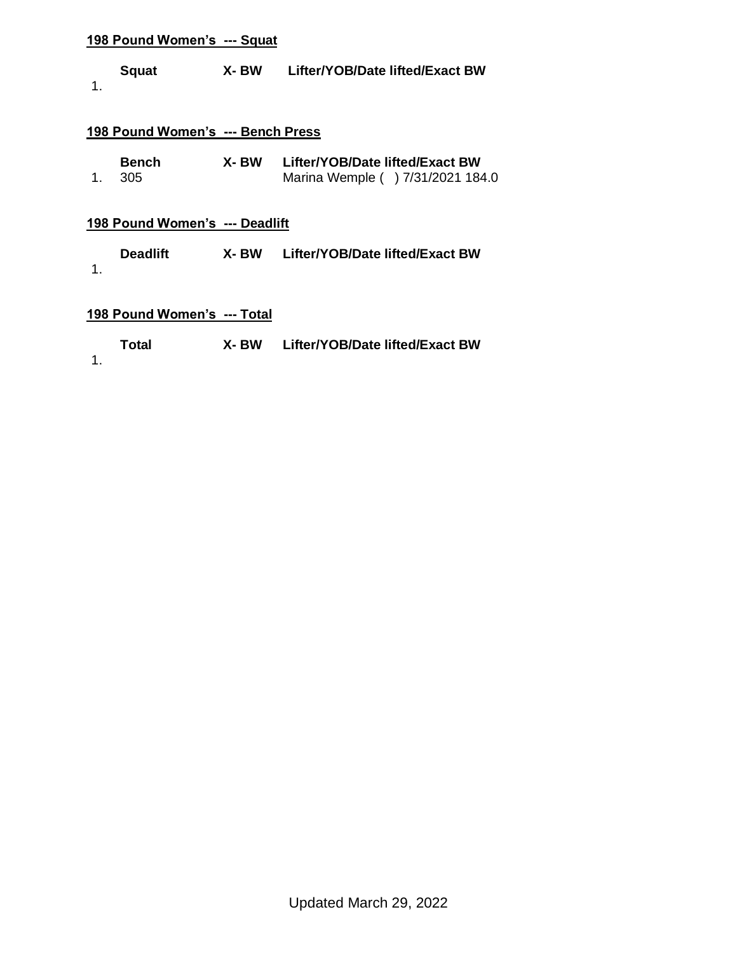| X-BW<br><b>Squat</b> | Lifter/YOB/Date lifted/Exact BW |
|----------------------|---------------------------------|
|----------------------|---------------------------------|

1.

### **198 Pound Women's --- Bench Press**

| <b>Bench</b> | X- BW | Lifter/YOB/Date lifted/Exact BW   |
|--------------|-------|-----------------------------------|
| 1. 305       |       | Marina Wemple ( ) 7/31/2021 184.0 |

### **198 Pound Women's --- Deadlift**

| <b>Deadlift</b> | X- BW | Lifter/YOB/Date lifted/Exact BW |
|-----------------|-------|---------------------------------|
|                 |       |                                 |

# **198 Pound Women's --- Total**

| Total | X- BW | Lifter/YOB/Date lifted/Exact BW |
|-------|-------|---------------------------------|
|       |       |                                 |

1.